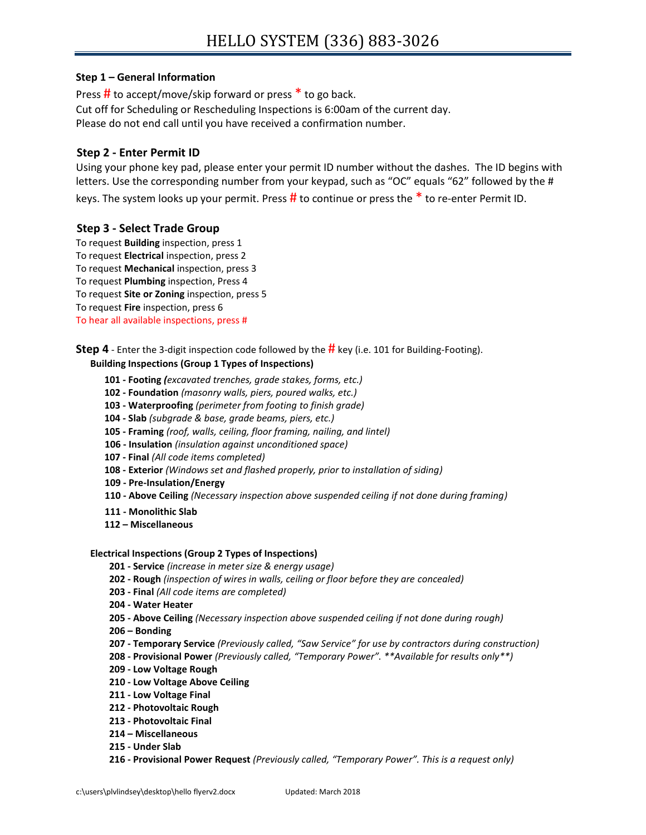# **Step 1 – General Information**

Press  $\#$  to accept/move/skip forward or press  $*$  to go back. Cut off for Scheduling or Rescheduling Inspections is 6:00am of the current day. Please do not end call until you have received a confirmation number.

# **Step 2 - Enter Permit ID**

Using your phone key pad, please enter your permit ID number without the dashes. The ID begins with letters. Use the corresponding number from your keypad, such as "OC" equals "62" followed by the #

keys. The system looks up your permit. Press  $\#$  to continue or press the  $*$  to re-enter Permit ID.

# **Step 3 - Select Trade Group**

To request **Building** inspection, press 1 To request **Electrical** inspection, press 2 To request **Mechanical** inspection, press 3 To request **Plumbing** inspection, Press 4 To request **Site or Zoning** inspection, press 5 To request **Fire** inspection, press 6 To hear all available inspections, press #

**Step 4** - Enter the 3-digit inspection code followed by the **#** key (i.e. 101 for Building-Footing).

### **Building Inspections (Group 1 Types of Inspections)**

- **101 - Footing** *(excavated trenches, grade stakes, forms, etc.)*
- **102 - Foundation** *(masonry walls, piers, poured walks, etc.)*
- **103 - Waterproofing** *(perimeter from footing to finish grade)*
- **104 - Slab** *(subgrade & base, grade beams, piers, etc.)*
- **105 - Framing** *(roof, walls, ceiling, floor framing, nailing, and lintel)*
- **106 - Insulation** *(insulation against unconditioned space)*
- **107 - Final** *(All code items completed)*
- **108 - Exterior** *(Windows set and flashed properly, prior to installation of siding)*
- **109 - Pre-Insulation/Energy**
- **110 - Above Ceiling** *(Necessary inspection above suspended ceiling if not done during framing)*
- **111 - Monolithic Slab**
- **112 – Miscellaneous**

#### **Electrical Inspections (Group 2 Types of Inspections)**

- **201 - Service** *(increase in meter size & energy usage)*
- **202 - Rough** *(inspection of wires in walls, ceiling or floor before they are concealed)*
- **203 - Final** *(All code items are completed)*
- **204 - Water Heater**
- **205 - Above Ceiling** *(Necessary inspection above suspended ceiling if not done during rough)*
- **206 – Bonding**
- **207 - Temporary Service** *(Previously called, "Saw Service" for use by contractors during construction)*
- **208 - Provisional Power** *(Previously called, "Temporary Power". \*\*Available for results only\*\*)*
- **209 - Low Voltage Rough**
- **210 - Low Voltage Above Ceiling**
- **211 - Low Voltage Final**
- **212 - Photovoltaic Rough**
- **213 - Photovoltaic Final**
- **214 – Miscellaneous**
- **215 - Under Slab**
- **216 - Provisional Power Request** *(Previously called, "Temporary Power". This is a request only)*